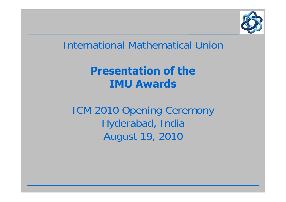

1

#### International Mathematical Union

### **Presentation of theIMU Awards**

ICM 2010 Opening Ceremony Hyderabad, India August 19, 2010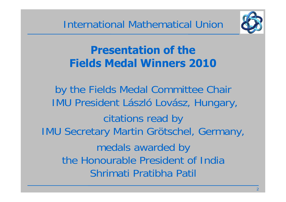

## **Presentation of theFields Medal Winners 2010**

by the Fields Medal Committee Chair IMU President László Lovász, Hungary, citations read by IMU Secretary Martin Grötschel, Germany, medals awarded by the Honourable President of India Shrimati Pratibha Patil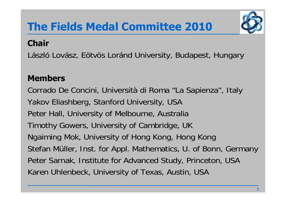

#### **Chair**

László Lovász, Eötvös Loránd University, Budapest, Hungary

#### **Members**

Corrado De Concini, Università di Roma "La Sapienza", Italy Yakov Eliashberg, Stanford University, USA Peter Hall, University of Melbourne, Australia Timothy Gowers, University of Cambridge, UK Ngaiming Mok, University of Hong Kong, Hong Kong Stefan Müller, Inst. for Appl. Mathematics, U. of Bonn, Germany Peter Sarnak, Institute for Advanced Study, Princeton, USA Karen Uhlenbeck, University of Texas, Austin, USA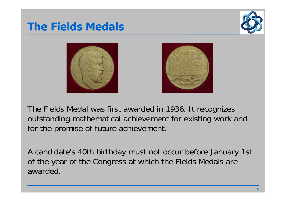### **The Fields Medals**







The Fields Medal was first awarded in 1936. It recognizes outstanding mathematical achievement for existing work and for the promise of future achievement.

A candidate's 40th birthday must not occur before January 1st of the year of the Congress at which the Fields Medals are awarded.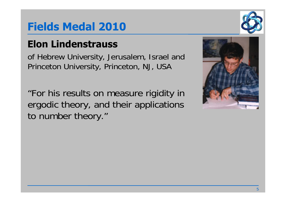#### **Elon Lindenstrauss**

of Hebrew University, Jerusalem, Israel and Princeton University, Princeton, NJ, USA

"For his results on measure rigidity in ergodic theory, and their applications to number theory."



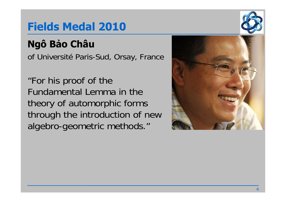# **Ngô B ảo Châu**

of Université Paris-Sud, Orsay, France

"For his proof of the Fundamental Lemma in the theory of automorphic forms through the introduction of new algebro-geometric methods."



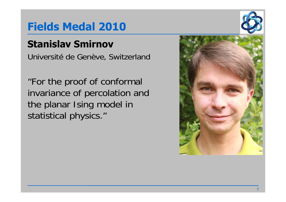#### **Stanislav Smirnov**

Université de Genève, Switzerland

"For the proof of conformal invariance of percolation and the planar Ising model in statistical physics."



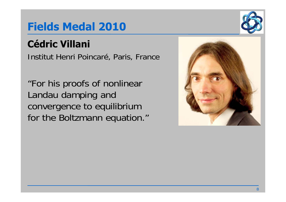# **Cédric Villani**

Institut Henri Poincaré, Paris, France

"For his proofs of nonlinear Landau damping and convergence to equilibrium for the Boltzmann equation."



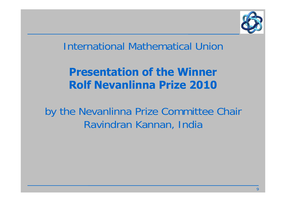

#### International Mathematical Union

### **Presentation of the Winner Rolf Nevanlinna Prize 2010**

by the Nevanlinna Prize Committee Chair Ravindran Kannan, India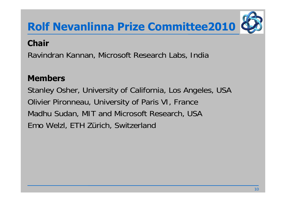

#### **Chair**

Ravindran Kannan, Microsoft Research Labs, India

#### **Members**

Stanley Osher, University of California, Los Angeles, USA Olivier Pironneau, University of Paris VI, France Madhu Sudan, MIT and Microsoft Research, USA Emo Welzl, ETH Zürich, Switzerland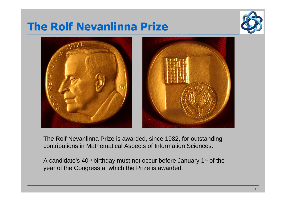## **The Rolf Nevanlinna Prize**





The Rolf Nevanlinna Prize is awarded, since 1982, for outstanding contributions in Mathematical Aspects of Information Sciences.

A candidate's 40th birthday must not occur before January 1st of the year of the Congress at which the Prize is awarded.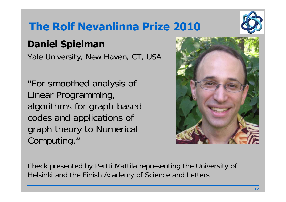## **The Rolf Nevanlinna Prize 2010**

### **Daniel Spielman**

Yale University, New Haven, CT, USA

"For smoothed analysis of Linear Programming, algorithms for graph-based codes and applications of graph theory to Numerical Computing."

Check presented by Pertti Mattila representing the University of Helsinki and the Finish Academy of Science and Letters



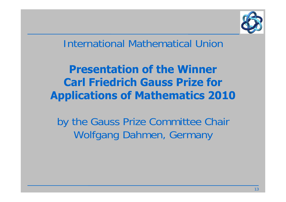

#### International Mathematical Union

### **Presentation of the Winner Carl Friedrich Gauss Prize for Applications of Mathematics 2010**

by the Gauss Prize Committee Chair Wolfgang Dahmen, Germany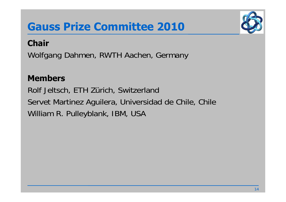## **Gauss Prize Committee 2010**



#### **Chair**

Wolfgang Dahmen, RWTH Aachen, Germany

#### **Members**

Rolf Jeltsch, ETH Zürich, Switzerland Servet Martinez Aguilera, Universidad de Chile, Chile William R. Pulleyblank, IBM, USA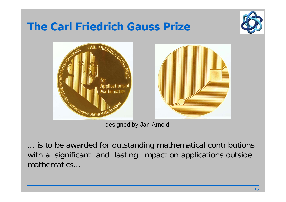## **The Carl Friedrich Gauss Prize**





designed by Jan Arnold

... is to be awarded for outstanding mathematical contributions with a significant and lasting impact on applications outside mathematics...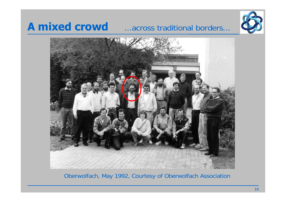### **A mixed crowd** ...across traditional borders...





Oberwolfach, May 1992, Courtesy of Oberwolfach Association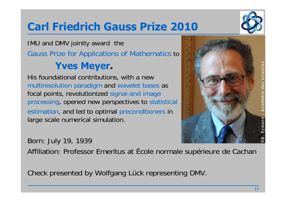## **Carl Friedrich Gauss Prize 2010**

#### IMU and DMV jointly award the Gauss Prize for Applications of Mathematics to **Yves Meyer.**

His foundational contributions, with a new multiresolution paradigm and wavelet bases as focal points, revolutionized signal-and image processing, opened new perspectives to statistical estimation, and led to optimal preconditioners in large scale numerical simulation.



Born: July 19, 1939

Affiliation: Professor Emeritus at École normale supérieure de Cachan

Check presented by Wolfgang Lück representing DMV.

![](_page_16_Picture_8.jpeg)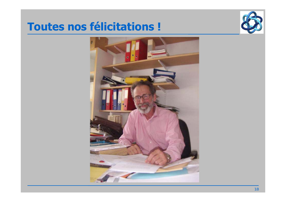#### **Toutes nos félicitations !**

![](_page_17_Picture_1.jpeg)

![](_page_17_Picture_2.jpeg)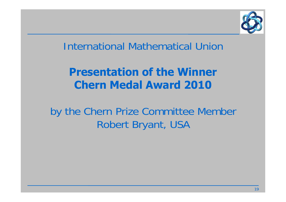![](_page_18_Picture_0.jpeg)

#### International Mathematical Union

### **Presentation of the Winner Chern Medal Award 2010**

by the Chern Prize Committee Member Robert Bryant, USA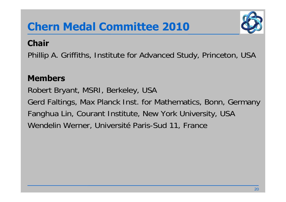# **Chern Medal Committee 2010**

![](_page_19_Picture_1.jpeg)

#### **Chair**

Phillip A. Griffiths, Institute for Advanced Study, Princeton, USA

#### **Members**

Robert Bryant, MSRI, Berkeley, USA Gerd Faltings, Max Planck Inst. for Mathematics, Bonn, Germany Fanghua Lin, Courant Institute, New York University, USA Wendelin Werner, Université Paris-Sud 11, France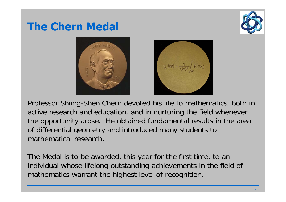## **The Chern Medal**

![](_page_20_Picture_1.jpeg)

![](_page_20_Picture_2.jpeg)

![](_page_20_Picture_3.jpeg)

Professor Shiing-Shen Chern devoted his life to mathematics, both in active research and education, and in nurturing the field whenever the opportunity arose. He obtained fundamental results in the area of differential geometry and introduced many students to mathematical research.

The Medal is to be awarded, this year for the first time, to an individual whose lifelong outstanding achievements in the field of mathematics warrant the highest level of recognition.